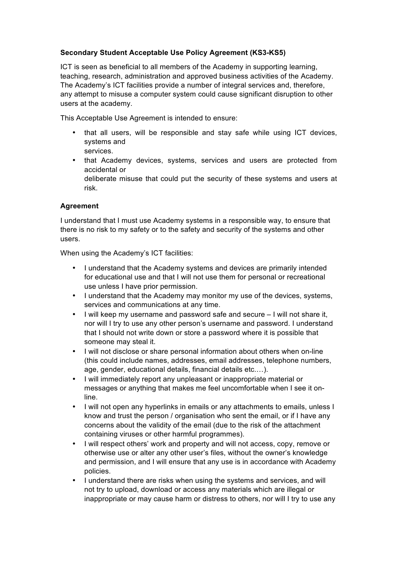## **Secondary Student Acceptable Use Policy Agreement (KS3-KS5)**

ICT is seen as beneficial to all members of the Academy in supporting learning, teaching, research, administration and approved business activities of the Academy. The Academy's ICT facilities provide a number of integral services and, therefore, any attempt to misuse a computer system could cause significant disruption to other users at the academy.

This Acceptable Use Agreement is intended to ensure:

- that all users, will be responsible and stay safe while using ICT devices, systems and services.
- that Academy devices, systems, services and users are protected from accidental or deliberate misuse that could put the security of these systems and users at

## **Agreement**

risk.

I understand that I must use Academy systems in a responsible way, to ensure that there is no risk to my safety or to the safety and security of the systems and other users.

When using the Academy's ICT facilities:

- I understand that the Academy systems and devices are primarily intended for educational use and that I will not use them for personal or recreational use unless I have prior permission.
- I understand that the Academy may monitor my use of the devices, systems, services and communications at any time.
- I will keep my username and password safe and secure I will not share it, nor will I try to use any other person's username and password. I understand that I should not write down or store a password where it is possible that someone may steal it.
- I will not disclose or share personal information about others when on-line (this could include names, addresses, email addresses, telephone numbers, age, gender, educational details, financial details etc.…).
- I will immediately report any unpleasant or inappropriate material or messages or anything that makes me feel uncomfortable when I see it online.
- I will not open any hyperlinks in emails or any attachments to emails, unless I know and trust the person / organisation who sent the email, or if I have any concerns about the validity of the email (due to the risk of the attachment containing viruses or other harmful programmes).
- I will respect others' work and property and will not access, copy, remove or otherwise use or alter any other user's files, without the owner's knowledge and permission, and I will ensure that any use is in accordance with Academy policies.
- I understand there are risks when using the systems and services, and will not try to upload, download or access any materials which are illegal or inappropriate or may cause harm or distress to others, nor will I try to use any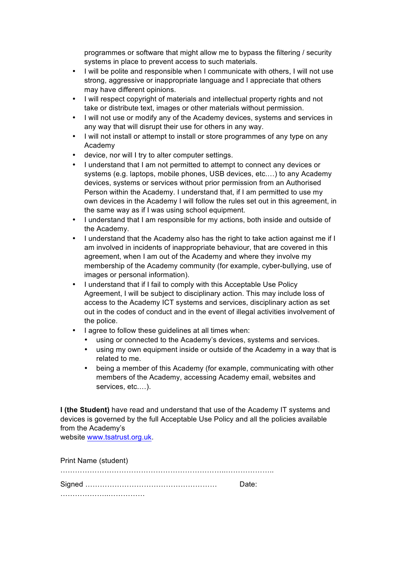programmes or software that might allow me to bypass the filtering / security systems in place to prevent access to such materials.

- I will be polite and responsible when I communicate with others, I will not use strong, aggressive or inappropriate language and I appreciate that others may have different opinions.
- I will respect copyright of materials and intellectual property rights and not take or distribute text, images or other materials without permission.
- I will not use or modify any of the Academy devices, systems and services in any way that will disrupt their use for others in any way.
- I will not install or attempt to install or store programmes of any type on any Academy
- device, nor will I try to alter computer settings.
- I understand that I am not permitted to attempt to connect any devices or systems (e.g. laptops, mobile phones, USB devices, etc.…) to any Academy devices, systems or services without prior permission from an Authorised Person within the Academy. I understand that, if I am permitted to use my own devices in the Academy I will follow the rules set out in this agreement, in the same way as if I was using school equipment.
- I understand that I am responsible for my actions, both inside and outside of the Academy.
- I understand that the Academy also has the right to take action against me if I am involved in incidents of inappropriate behaviour, that are covered in this agreement, when I am out of the Academy and where they involve my membership of the Academy community (for example, cyber-bullying, use of images or personal information).
- I understand that if I fail to comply with this Acceptable Use Policy Agreement, I will be subject to disciplinary action. This may include loss of access to the Academy ICT systems and services, disciplinary action as set out in the codes of conduct and in the event of illegal activities involvement of the police.
- I agree to follow these guidelines at all times when:
	- using or connected to the Academy's devices, systems and services.
	- using my own equipment inside or outside of the Academy in a way that is related to me.
	- being a member of this Academy (for example, communicating with other members of the Academy, accessing Academy email, websites and services, etc.…).

**I (the Student)** have read and understand that use of the Academy IT systems and devices is governed by the full Acceptable Use Policy and all the policies available from the Academy's

website www.tsatrust.org.uk.

| Print Name (student) |       |
|----------------------|-------|
|                      | Date: |
|                      |       |